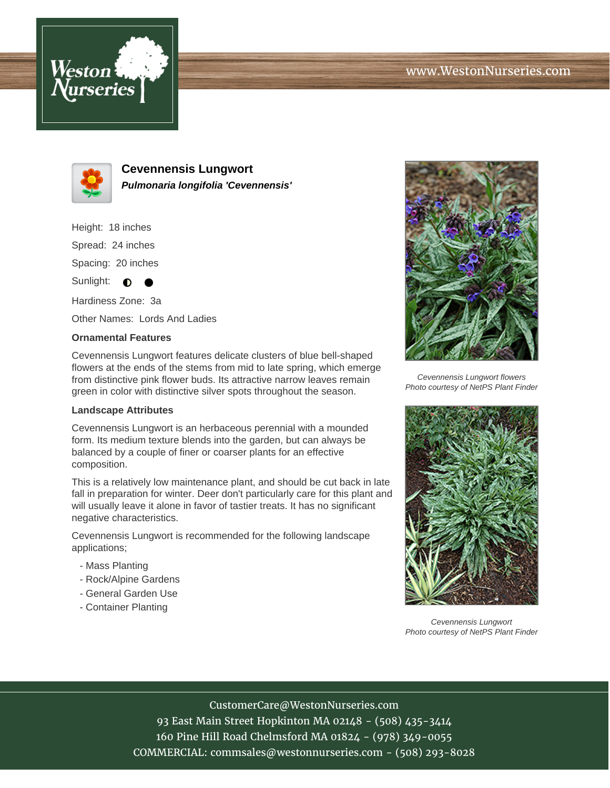



**Cevennensis Lungwort Pulmonaria longifolia 'Cevennensis'**

Height: 18 inches Spread: 24 inches Spacing: 20 inches Sunlight:  $\bullet$ ●

Hardiness Zone: 3a

Other Names: Lords And Ladies

## **Ornamental Features**

Cevennensis Lungwort features delicate clusters of blue bell-shaped flowers at the ends of the stems from mid to late spring, which emerge from distinctive pink flower buds. Its attractive narrow leaves remain green in color with distinctive silver spots throughout the season.

## **Landscape Attributes**

Cevennensis Lungwort is an herbaceous perennial with a mounded form. Its medium texture blends into the garden, but can always be balanced by a couple of finer or coarser plants for an effective composition.

This is a relatively low maintenance plant, and should be cut back in late fall in preparation for winter. Deer don't particularly care for this plant and will usually leave it alone in favor of tastier treats. It has no significant negative characteristics.

Cevennensis Lungwort is recommended for the following landscape applications;

- Mass Planting
- Rock/Alpine Gardens
- General Garden Use
- Container Planting



Cevennensis Lungwort flowers Photo courtesy of NetPS Plant Finder



Cevennensis Lungwort Photo courtesy of NetPS Plant Finder

CustomerCare@WestonNurseries.com

93 East Main Street Hopkinton MA 02148 - (508) 435-3414 160 Pine Hill Road Chelmsford MA 01824 - (978) 349-0055 COMMERCIAL: commsales@westonnurseries.com - (508) 293-8028